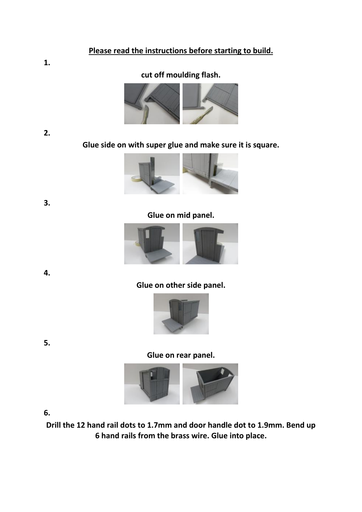### **Please read the instructions before starting to build.**

## **cut off moulding flash.**



**3.** 

**1.** 

**Glue side on with super glue and make sure it is square.**



**Glue on mid panel.**



**4.** 

**Glue on other side panel.**



**Glue on rear panel.**



**6.** 

**Drill the 12 hand rail dots to 1.7mm and door handle dot to 1.9mm. Bend up 6 hand rails from the brass wire. Glue into place.**

**5.**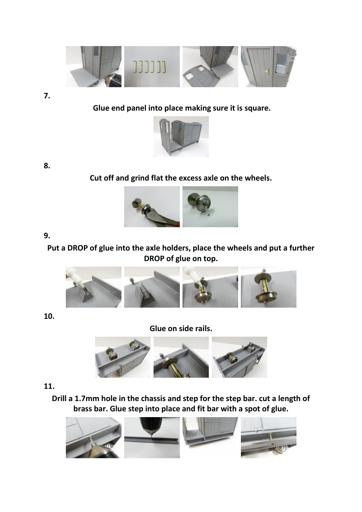

**7.** 

## **Glue end panel into place making sure it is square.**



**8.** 

**Cut off and grind flat the excess axle on the wheels.**



### **9.**

# **Put a DROP of glue into the axle holders, place the wheels and put a further DROP of glue on top.**



**10.** 

**Glue on side rails.**



#### **11.**

**Drill a 1.7mm hole in the chassis and step for the step bar. cut a length of brass bar. Glue step into place and fit bar with a spot of glue.**